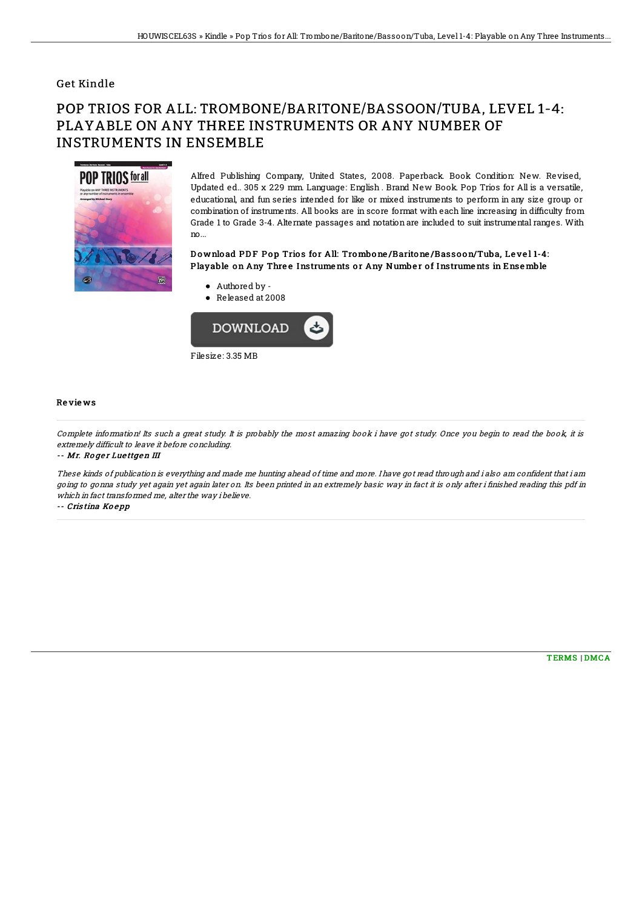### Get Kindle

# POP TRIOS FOR ALL: TROMBONE/BARITONE/BASSOON/TUBA, LEVEL 1-4: PLAYABLE ON ANY THREE INSTRUMENTS OR ANY NUMBER OF INSTRUMENTS IN ENSEMBLE



Alfred Publishing Company, United States, 2008. Paperback. Book Condition: New. Revised, Updated ed.. 305 x 229 mm. Language: English . Brand New Book. Pop Trios for All is a versatile, educational, and fun series intended for like or mixed instruments to perform in any size group or combination of instruments. All books are in score format with each line increasing in difficulty from Grade 1 to Grade 3-4. Alternate passages and notation are included to suit instrumental ranges. With no...

#### Download PDF Pop Trios for All: Trombone/Baritone/Bassoon/Tuba, Level 1-4: Playable on Any Three Instruments or Any Number of Instruments in Ensemble

- Authored by -
- Released at 2008



#### Re vie ws

Complete information! Its such <sup>a</sup> great study. It is probably the most amazing book i have got study. Once you begin to read the book, it is extremely difficult to leave it before concluding.

-- Mr. Roger Luettgen III

These kinds of publication is everything and made me hunting ahead of time and more. I have got read through and i also am confident that i am going to gonna study yet again yet again later on. Its been printed in an extremely basic way in fact it is only after i finished reading this pdf in which in fact transformed me, alter the way i believe.

-- Cris tina Ko <sup>e</sup> pp